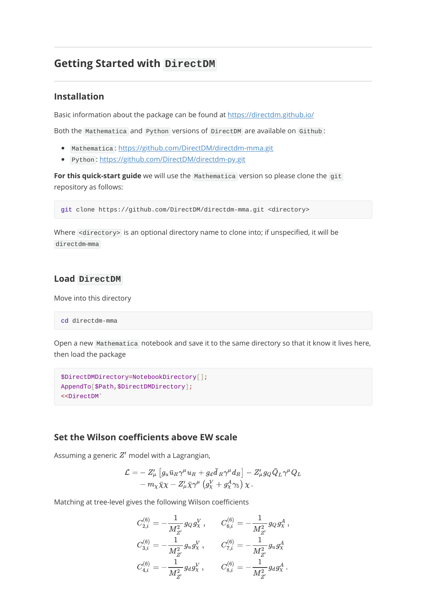# **Getting Started with DirectDM**

### **Installation**

Basic information about the package can be found at <https://directdm.github.io/>

Both the Mathematica and Python versions of DirectDM are available on Github :

- Mathematica : <https://github.com/DirectDM/directdm-mma.git>
- Python:<https://github.com/DirectDM/directdm-py.git>

For this quick-start guide we will use the Mathematica version so please clone the git repository as follows:

git clone https://github.com/DirectDM/directdm-mma.git <directory>

Where <directory> is an optional directory name to clone into; if unspecified, it will be directdm-mma

## **Load DirectDM**

Move into this directory

cd directdm-mma

Open a new Mathematica notebook and save it to the same directory so that it know it lives here, then load the package

```
$DirectDMDirectory=NotebookDirectory[];
AppendTo[$Path,$DirectDMDirectory];
<<DirectDM`
```
### **Set the Wilson coefficients above EW scale**

Assuming a generic  $Z'$  model with a Lagrangian,

$$
\begin{aligned} \mathcal{L}=&-Z_{\mu}^{\prime}\left[g_u\bar{u}_R\gamma^{\mu}u_R+g_d\bar{d}_R\gamma^{\mu}d_R\right]-Z_{\mu}^{\prime}g_Q\bar{Q}_L\gamma^{\mu}Q_L\\ &-m_{\chi}\bar{\chi}\chi-Z_{\mu}^{\prime}\bar{\chi}\gamma^{\mu}\left(g_{\chi}^{V}+g_{\chi}^{A}\gamma_5\right)\chi\,. \end{aligned}
$$

Matching at tree-level gives the following Wilson coefficients

$$
\begin{aligned} C_{2,i}^{(6)}&=-\frac{1}{M_{Z'}^2}g_Qg_\chi^V\,,\qquad C_{6,i}^{(6)}=-\frac{1}{M_{Z'}^2}g_Qg_\chi^A\,,\\ C_{3,i}^{(6)}&=-\frac{1}{M_{Z'}^2}g_ug_\chi^V\,,\qquad C_{7,i}^{(6)}=-\frac{1}{M_{Z'}^2}g_ug_\chi^A\,\\ C_{4,i}^{(6)}&=-\frac{1}{M_{Z'}^2}g_dg_\chi^V\,,\qquad C_{8,i}^{(6)}=-\frac{1}{M_{Z'}^2}g_dg_\chi^A\,. \end{aligned}
$$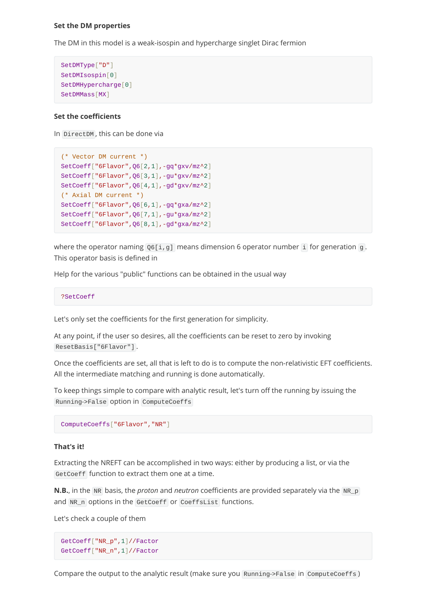#### **Set the DM properties**

The DM in this model is a weak-isospin and hypercharge singlet Dirac fermion

```
SetDMType["D"]
SetDMIsospin[0]
SetDMHypercharge[0]
SetDMMass[MX]
```
#### **Set the coefficients**

In DirectDM , this can be done via

```
(* Vector DM current *)
SetCoeff["6Flavor",Q6[2,1],-gq*gxv/mz^2]
SetCoeff["6Flavor",Q6[3,1],-gu*gxv/mz^2]
SetCoeff["6Flavor",Q6[4,1],-gd*gxv/mz^2]
(* Axial DM current *)
SetCoeff["6Flavor",Q6[6,1],-gq*gxa/mz^2]
SetCoeff["6Flavor",Q6[7,1],-gu*gxa/mz^2]
SetCoeff["6Flavor",Q6[8,1],-gd*gxa/mz^2]
```
where the operator naming  $Q6[i, g]$  means dimension 6 operator number i for generation g. This operator basis is defined in

Help for the various "public" functions can be obtained in the usual way

```
?SetCoeff
```
Let's only set the coefficients for the first generation for simplicity.

At any point, if the user so desires, all the coefficients can be reset to zero by invoking ResetBasis["6Flavor"] .

Once the coefficients are set, all that is left to do is to compute the non-relativistic EFT coefficients. All the intermediate matching and running is done automatically.

To keep things simple to compare with analytic result, let's turn off the running by issuing the Running->False option in ComputeCoeffs

```
ComputeCoeffs["6Flavor","NR"]
```
### **That's it!**

Extracting the NREFT can be accomplished in two ways: either by producing a list, or via the GetCoeff function to extract them one at a time.

**N.B.**, in the NR basis, the *proton* and *neutron* coefficients are provided separately via the NR\_p and NR\_n options in the GetCoeff or CoeffsList functions.

Let's check a couple of them

GetCoeff["NR\_p",1]//Factor GetCoeff["NR\_n",1]//Factor

Compare the output to the analytic result (make sure you Running->False in ComputeCoeffs )